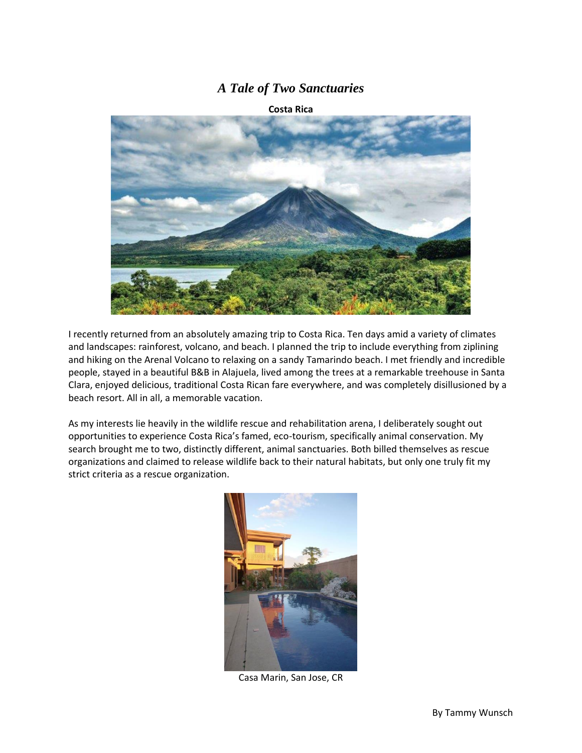## *A Tale of Two Sanctuaries*

**Costa Rica**



I recently returned from an absolutely amazing trip to Costa Rica. Ten days amid a variety of climates and landscapes: rainforest, volcano, and beach. I planned the trip to include everything from ziplining and hiking on the Arenal Volcano to relaxing on a sandy Tamarindo beach. I met friendly and incredible people, stayed in a beautiful B&B in Alajuela, lived among the trees at a remarkable treehouse in Santa Clara, enjoyed delicious, traditional Costa Rican fare everywhere, and was completely disillusioned by a beach resort. All in all, a memorable vacation.

As my interests lie heavily in the wildlife rescue and rehabilitation arena, I deliberately sought out opportunities to experience Costa Rica's famed, eco-tourism, specifically animal conservation. My search brought me to two, distinctly different, animal sanctuaries. Both billed themselves as rescue organizations and claimed to release wildlife back to their natural habitats, but only one truly fit my strict criteria as a rescue organization.



Casa Marin, San Jose, CR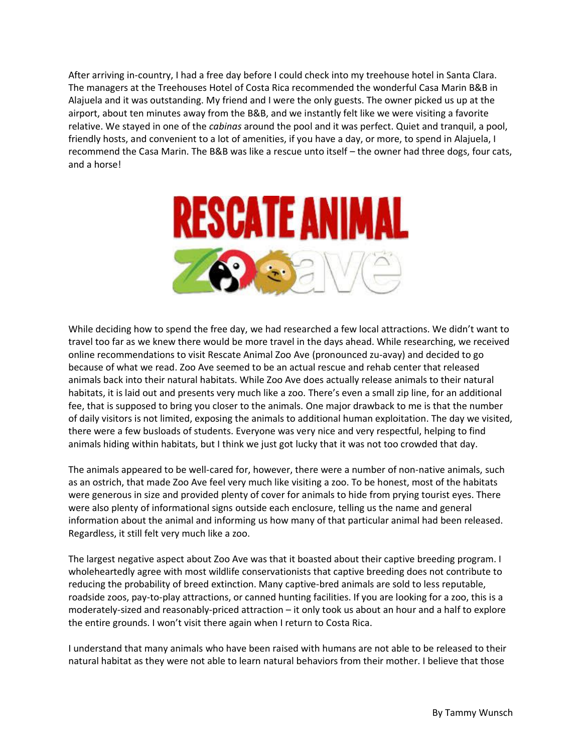After arriving in-country, I had a free day before I could check into my treehouse hotel in Santa Clara. The managers at the Treehouses Hotel of Costa Rica recommended the wonderful Casa Marin B&B in Alajuela and it was outstanding. My friend and I were the only guests. The owner picked us up at the airport, about ten minutes away from the B&B, and we instantly felt like we were visiting a favorite relative. We stayed in one of the *cabinas* around the pool and it was perfect. Quiet and tranquil, a pool, friendly hosts, and convenient to a lot of amenities, if you have a day, or more, to spend in Alajuela, I recommend the Casa Marin. The B&B was like a rescue unto itself – the owner had three dogs, four cats, and a horse!



While deciding how to spend the free day, we had researched a few local attractions. We didn't want to travel too far as we knew there would be more travel in the days ahead. While researching, we received online recommendations to visit Rescate Animal Zoo Ave (pronounced zu-avay) and decided to go because of what we read. Zoo Ave seemed to be an actual rescue and rehab center that released animals back into their natural habitats. While Zoo Ave does actually release animals to their natural habitats, it is laid out and presents very much like a zoo. There's even a small zip line, for an additional fee, that is supposed to bring you closer to the animals. One major drawback to me is that the number of daily visitors is not limited, exposing the animals to additional human exploitation. The day we visited, there were a few busloads of students. Everyone was very nice and very respectful, helping to find animals hiding within habitats, but I think we just got lucky that it was not too crowded that day.

The animals appeared to be well-cared for, however, there were a number of non-native animals, such as an ostrich, that made Zoo Ave feel very much like visiting a zoo. To be honest, most of the habitats were generous in size and provided plenty of cover for animals to hide from prying tourist eyes. There were also plenty of informational signs outside each enclosure, telling us the name and general information about the animal and informing us how many of that particular animal had been released. Regardless, it still felt very much like a zoo.

The largest negative aspect about Zoo Ave was that it boasted about their captive breeding program. I wholeheartedly agree with most wildlife conservationists that captive breeding does not contribute to reducing the probability of breed extinction. Many captive-bred animals are sold to less reputable, roadside zoos, pay-to-play attractions, or canned hunting facilities. If you are looking for a zoo, this is a moderately-sized and reasonably-priced attraction – it only took us about an hour and a half to explore the entire grounds. I won't visit there again when I return to Costa Rica.

I understand that many animals who have been raised with humans are not able to be released to their natural habitat as they were not able to learn natural behaviors from their mother. I believe that those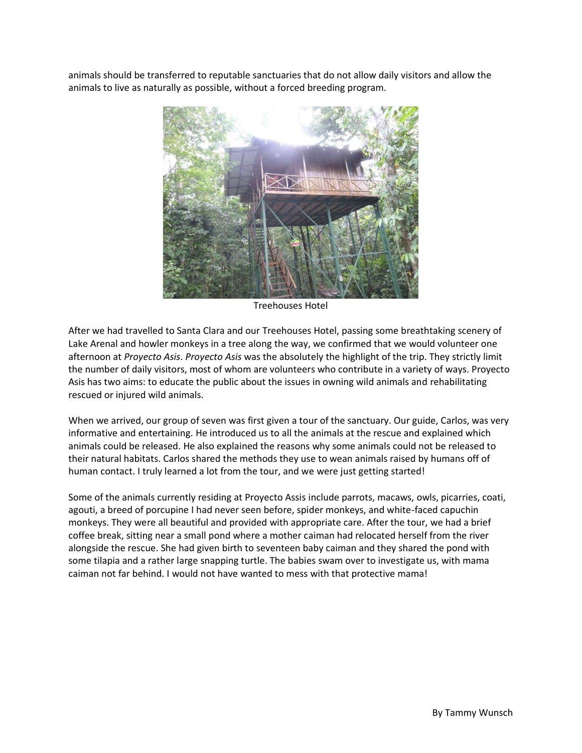animals should be transferred to reputable sanctuaries that do not allow daily visitors and allow the animals to live as naturally as possible, without a forced breeding program.



Treehouses Hotel

After we had travelled to Santa Clara and our Treehouses Hotel, passing some breathtaking scenery of Lake Arenal and howler monkeys in a tree along the way, we confirmed that we would volunteer one afternoon at *Proyecto Asis*. *Proyecto Asis* was the absolutely the highlight of the trip. They strictly limit the number of daily visitors, most of whom are volunteers who contribute in a variety of ways. Proyecto Asis has two aims: to educate the public about the issues in owning wild animals and rehabilitating rescued or injured wild animals.

When we arrived, our group of seven was first given a tour of the sanctuary. Our guide, Carlos, was very informative and entertaining. He introduced us to all the animals at the rescue and explained which animals could be released. He also explained the reasons why some animals could not be released to their natural habitats. Carlos shared the methods they use to wean animals raised by humans off of human contact. I truly learned a lot from the tour, and we were just getting started!

Some of the animals currently residing at Proyecto Assis include parrots, macaws, owls, picarries, coati, agouti, a breed of porcupine I had never seen before, spider monkeys, and white-faced capuchin monkeys. They were all beautiful and provided with appropriate care. After the tour, we had a brief coffee break, sitting near a small pond where a mother caiman had relocated herself from the river alongside the rescue. She had given birth to seventeen baby caiman and they shared the pond with some tilapia and a rather large snapping turtle. The babies swam over to investigate us, with mama caiman not far behind. I would not have wanted to mess with that protective mama!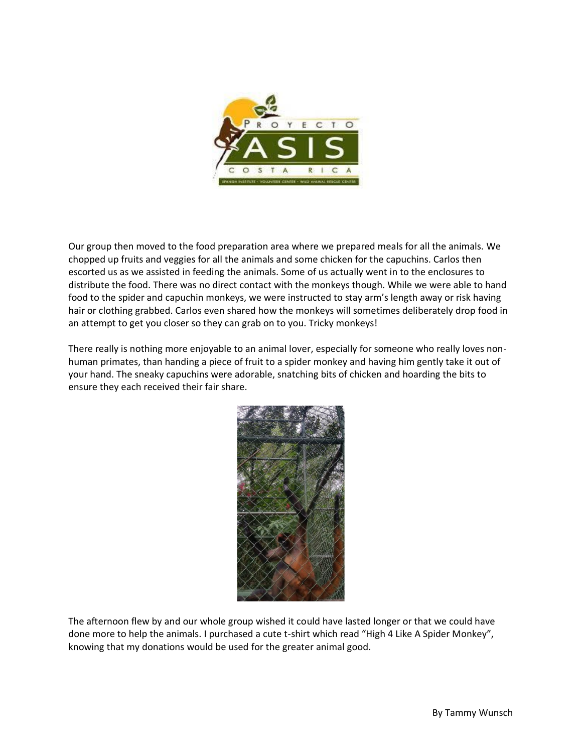

Our group then moved to the food preparation area where we prepared meals for all the animals. We chopped up fruits and veggies for all the animals and some chicken for the capuchins. Carlos then escorted us as we assisted in feeding the animals. Some of us actually went in to the enclosures to distribute the food. There was no direct contact with the monkeys though. While we were able to hand food to the spider and capuchin monkeys, we were instructed to stay arm's length away or risk having hair or clothing grabbed. Carlos even shared how the monkeys will sometimes deliberately drop food in an attempt to get you closer so they can grab on to you. Tricky monkeys!

There really is nothing more enjoyable to an animal lover, especially for someone who really loves nonhuman primates, than handing a piece of fruit to a spider monkey and having him gently take it out of your hand. The sneaky capuchins were adorable, snatching bits of chicken and hoarding the bits to ensure they each received their fair share.



The afternoon flew by and our whole group wished it could have lasted longer or that we could have done more to help the animals. I purchased a cute t-shirt which read "High 4 Like A Spider Monkey", knowing that my donations would be used for the greater animal good.